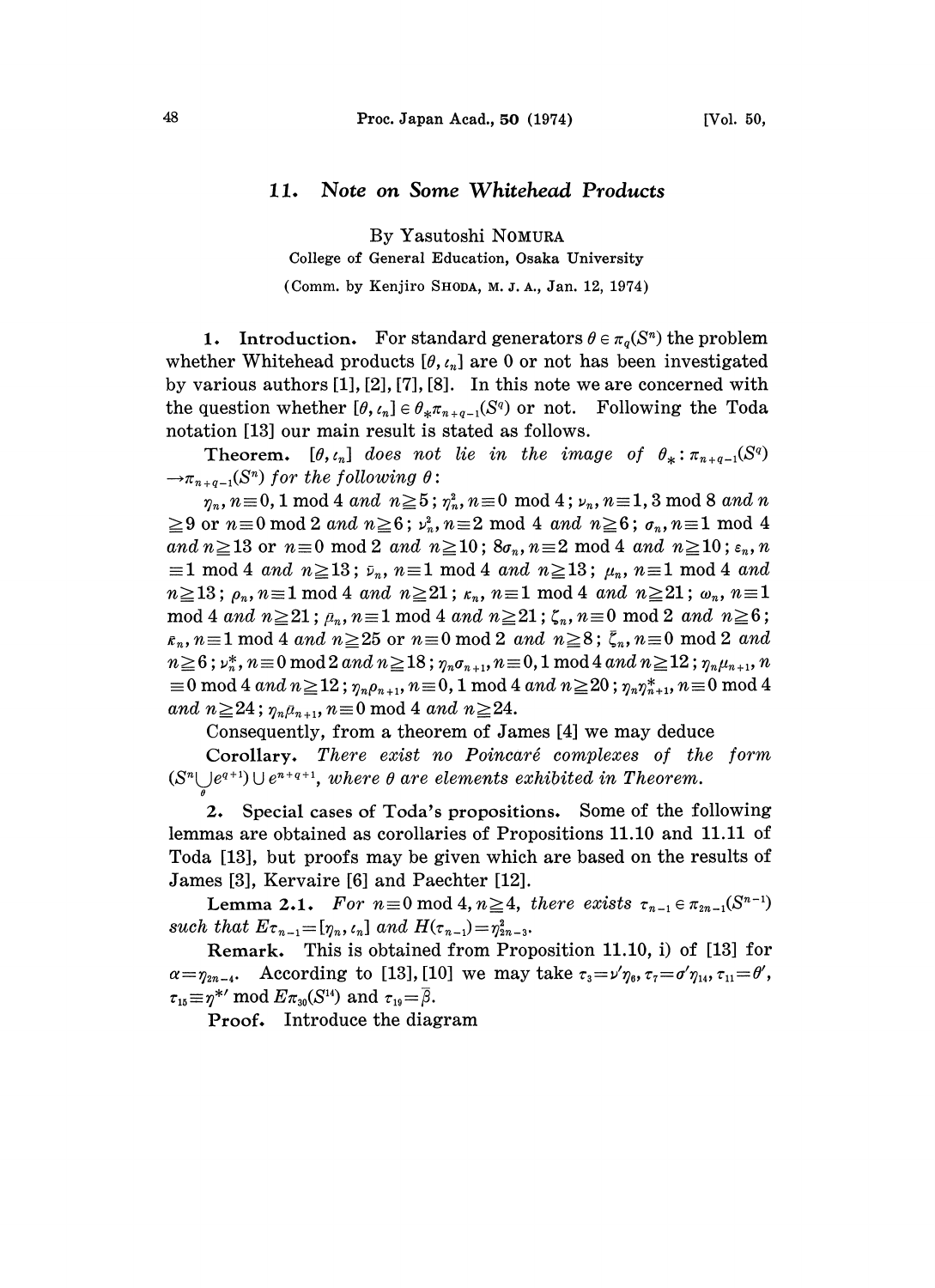## 11. Note on Some Whitehead Products

By Yasutoshi NOMURA

College of General Education, Osaka University

(Comm. by Kenjiro SHODA, M. J. A., Jan. 12, 1974)

1. Introduction. For standard generators  $\theta \in \pi_q(S^n)$  the problem whether Whitehead products  $[\theta, t_n]$  are 0 or not has been investigated by various authors [1], [2], [7], [8]. In this note we are concerned with the question whether  $[\theta, \ell_n] \in \theta_* \pi_{n+q-1}(S^q)$  or not. Following the Toda notation [13] our main result is stated as follows.

**Theorem.**  $[\theta, t_n]$  does not lie in the image of  $\theta_* : \pi_{n+q-1}(S^q)$  $\rightarrow \pi_{n+q-1}(S^n)$  for the following  $\theta$ :

 $\eta_n, n \equiv 0, 1 \mod 4$  and  $n \ge 5$ ;  $\eta_n^2, n \equiv 0 \mod 4$ ;  $\nu_n, n \equiv 1, 3 \mod 8$  and n  $\geq$ 9 or  $n\equiv 0 \mod 2$  and  $n\geq 6$ ;  $\nu_n^2$ ,  $n\equiv 2 \mod 4$  and  $n\geq 6$ ;  $\sigma_n$ ,  $n\equiv 1 \mod 4$ and  $n \ge 13$  or  $n \equiv 0 \mod 2$  and  $n \ge 10$ ;  $8\sigma_n$ ,  $n \equiv 2 \mod 4$  and  $n \ge 10$ ;  $\varepsilon_n$ , n  $\equiv$ 1 mod 4 and n $\geq$ 13;  $\bar{\nu}_n$ , n $\equiv$ 1 mod 4 and n $\geq$ 13;  $\mu_n$ , n $\equiv$ 1 mod 4 and  $n \ge 13$ ;  $\rho_n$ ,  $n \equiv 1 \mod 4$  and  $n \ge 21$ ;  $\kappa_n$ ,  $n \equiv 1 \mod 4$  and  $n \ge 21$ ;  $\omega_n$ ,  $n \equiv 1$ mod 4 and  $n \ge 21$ ;  $p_n$ ,  $n \equiv 1 \mod 4$  and  $n \ge 21$ ;  $\zeta_n$ ,  $n \equiv 0 \mod 2$  and  $n \ge 6$ ;  $n \equiv 1 \mod 4$  and  $n \ge 25$  or  $n \equiv 0 \mod 2$  and  $n \ge 8$ ;  $\bar{\zeta}_n, n \equiv 0 \mod 2$  and  $n \ge 6$ ;  $\nu_n^*$ ,  $n \equiv 0 \mod 2$  and  $n \ge 18$ ;  $\eta_n \sigma_{n+1}$ ,  $n \equiv 0,1 \mod 4$  and  $n \ge 12$ ;  $\eta_n \mu_{n+1}$ , n  $t \equiv 0 \bmod 4$  and  $n \ge 12$ ;  $\eta_n \rho_{n+1}, n \equiv 0, 1 \bmod 4$  and  $n \ge 20$ ;  $\eta_n \eta_{n+1}^*, n \equiv 0 \bmod 4$ and  $n \geq 24$ ;  $\eta_n \bar{\mu}_{n+1}$ ,  $n \equiv 0 \mod 4$  and  $n \geq 24$ .

Consequently, from a theorem of James [4] we may deduce

Corollary. There exist no Poincaré complexes of the form  $(S<sup>n</sup> \cup e<sup>q+1</sup>) \cup e<sup>n+q+1</sup>$ , where  $\theta$  are elements exhibited in Theorem.

2. Special cases of Toda's propositions. Some of the following lemmas are obtained as corollaries of Propositions 11.10 and 11.11 of Toda [13], but proofs may be given which are based on the results of James [3], Kervaire [6] and Paechter [12].

Lemma 2.1. For  $n\equiv 0 \mod 4$ ,  $n\geq 4$ , there exists  $\tau_{n-1} \in \pi_{2n-1}(S^{n-1})$ such that  $E_{\tau_{n-1}}=[\eta_n, \iota_n]$  and  $H(\tau_{n-1})=\eta_{2n-3}^2$ .

Remark. This is obtained from Proposition 11.10, i) of [13] for  $\alpha=\eta_{2n-4}$ . According to [13], [10] we may take  $\tau_3=\nu'\eta_6$ ,  $\tau_7=\sigma'\eta_{14}$ ,  $\tau_{11}=\theta'$ ,  $\tau_{15} \equiv \eta^{*'} \mod E \pi_{30}(S^{14})$  and  $\tau_{19} = \overline{\beta}$ .

Proof. Introduce the diagram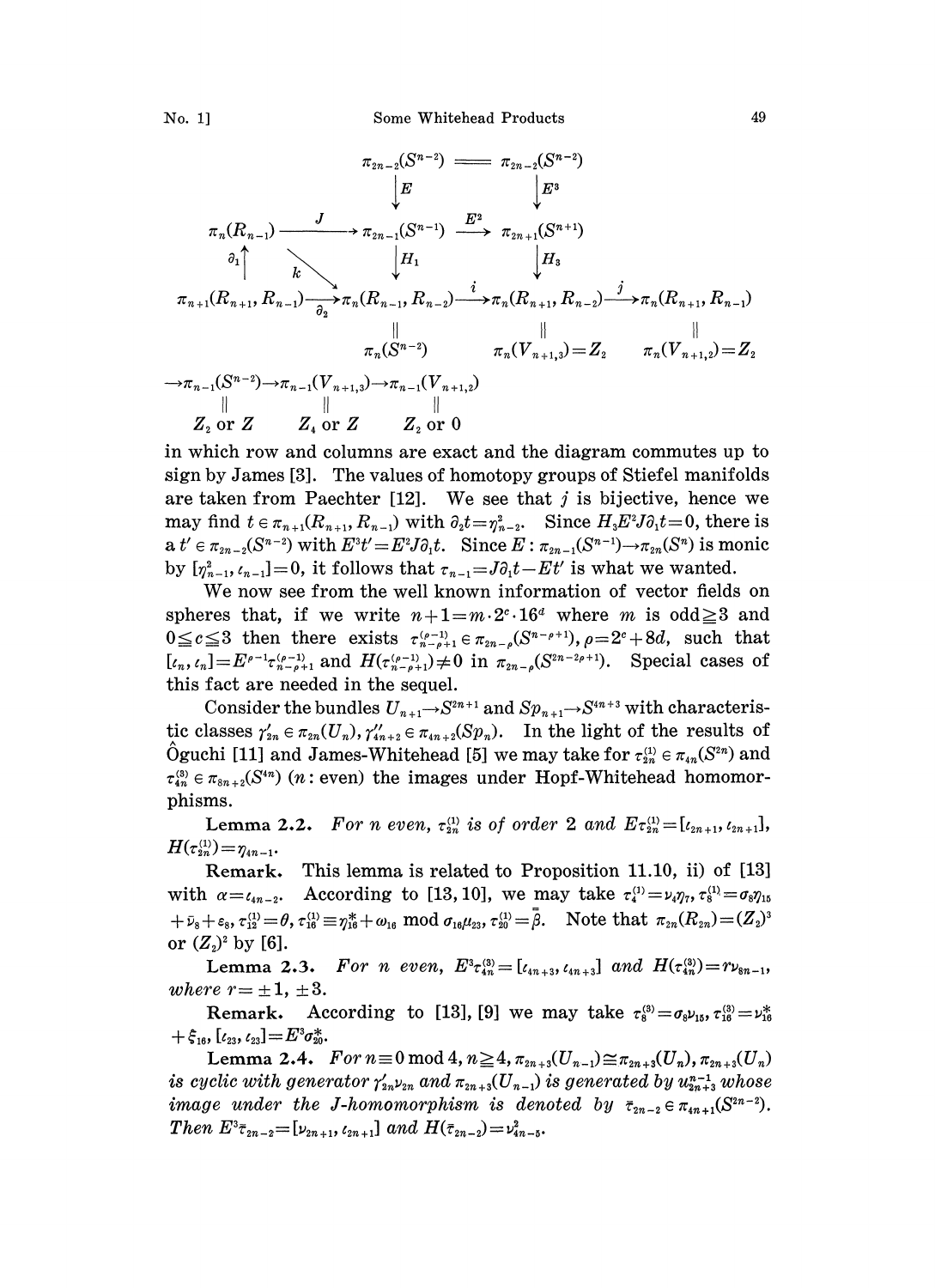

in which row and columns are exact and the diagram commutes up to sign by James [3]. The values of homotopy groups of Stiefel manifolds are taken from Paechter [12]. We see that  $j$  is bijective, hence we may find  $t \in \pi_{n+1}(R_{n+1}, R_{n-1})$  with  $\partial_2 t = \eta_{n-2}^2$ . Since  $H_3 E^2 J \partial_1 t = 0$ , there is a  $t' \in \pi_{2n-2}(S^{n-2})$  with  $E^3t' = E^2J\partial_1t$ . Since  $E : \pi_{2n-1}(S^{n-1}) \to \pi_{2n}(S^n)$  is monic by  $[\eta_{n-1}^2, \iota_{n-1}]=0$ , it follows that  $\tau_{n-1}=J\partial_1t-Et'$  is what we wanted.

We now see from the well known information of vector fields on spheres that, if we write  $n+1=m\cdot 2^{c}\cdot 16^{d}$  where m is odd  $\geq 3$  and spheres that, if we write  $n+1=m\cdot 2\cdot 10$  where *m* is out  $\leq$  3 and  $0\leq c\leq 3$  then there exists  $\tau_{n-p+1}^{(p-1)} \in \pi_{2n-p}(S^{n-p+1}), \rho=2^c+8d$ , such that  $\overline{[t_n, t_n]} = E^{p-1} \tau_{n-p+1}^{(p-1)}$  and  $H(\tau_{n-p+1}^{(p-1)}) \neq 0$  in  $\pi_{2n-p} (S^{2n-2p+1})$ . Special cases of this fact are needed in the sequel.

Consider the bundles  $U_{n+1} \rightarrow S^{2n+1}$  and  $Sp_{n+1} \rightarrow S^{4n+3}$  with characteristic classes  $\gamma'_{2n} \in \pi_{2n}(U_n)$ ,  $\gamma''_{4n+2} \in \pi_{4n+2}(Sp_n)$ . In the light of the results of Oguchi [11] and James-Whitehead [5] we may take for  $\tau_{2n}^{(1)} \in \pi_{4n}(S^{2n})$  and  $\tau_{4n}^{(8)} \in \pi_{8n+2}(S^{4n})$  (*n*: even) the images under Hopf-Whitehead homomorphisms.

Lemma 2.2. For n even,  $\tau_{2n}^{(1)}$  is of order 2 and  $E \tau_{2n}^{(1)} = [\iota_{2n+1}, \iota_{2n+1}],$  $H(\tau_{2n}^{(1)}) = \eta_{4n-1}.$ 

Remark. This lemma is related to Proposition 11.10, ii) of [13] with  $\alpha = \ell_{4n-2}$ . According to [13, 10], we may take  $\tau_4^{(1)} = \nu_4 \eta_7$ ,  $\tau_8^{(1)} = \sigma_8 \eta_{15}$  $+\bar{\nu}_8+\varepsilon_8, \tau_{12}^{(1)}=\theta, \tau_{16}^{(1)}\equiv \eta_{16}^*+\omega_{16} \mod \sigma_{16}\mu_{23}, \tau_{20}^{(1)}=\bar{\beta}.$  Note that  $\pi_{2n}(R_{2n})=(Z_2)^3$ or  $(Z_2)^2$  by [6].

Lemma 2.3. For n even,  $E^3 \tau_{4n}^{(3)} = [\iota_{4n+3}, \iota_{4n+3}]$  and  $H(\tau_{4n}^{(3)}) = r\nu_{8n-1}$ , where  $r = \pm 1, \pm 3$ .

Remark. According to [13], [9] we may take  $\tau_8^{(3)} = \sigma_8 \nu_{15}, \tau_{16}^{(3)} = \nu_{16}^*$  $+ \xi_{16}$ ,  $[\iota_{23}, \iota_{23}]\!=\!E^3\sigma_{20}^*$ .

Lemma 2.4.  $For n \equiv 0 \mod 4, n \geq 4, \pi_{2n+3}(U_{n-1}) \approx \pi_{2n+3}(U_n), \pi_{2n+3}(U_n)$ is cyclic with generator  $\gamma_{\scriptscriptstyle 2n}^{\prime}\nu_{\scriptscriptstyle 2n}$  and  $\pi_{\scriptscriptstyle 2n+3}(U_{\scriptscriptstyle n-1})$  is generated by  $u_{\scriptscriptstyle 2n+3}^{\scriptscriptstyle n-1}$  whose image under the J-homomorphism is denoted by  $\bar{\tau}_{2n-2} \in \pi_{4n+1}(S^{2n-2})$ . Then  $E^3\bar{\tau}_{2n-2}=[\nu_{2n+1}, \ell_{2n+1}]$  and  $H(\bar{\tau}_{2n-2})=\nu_{4n-5}^2$ .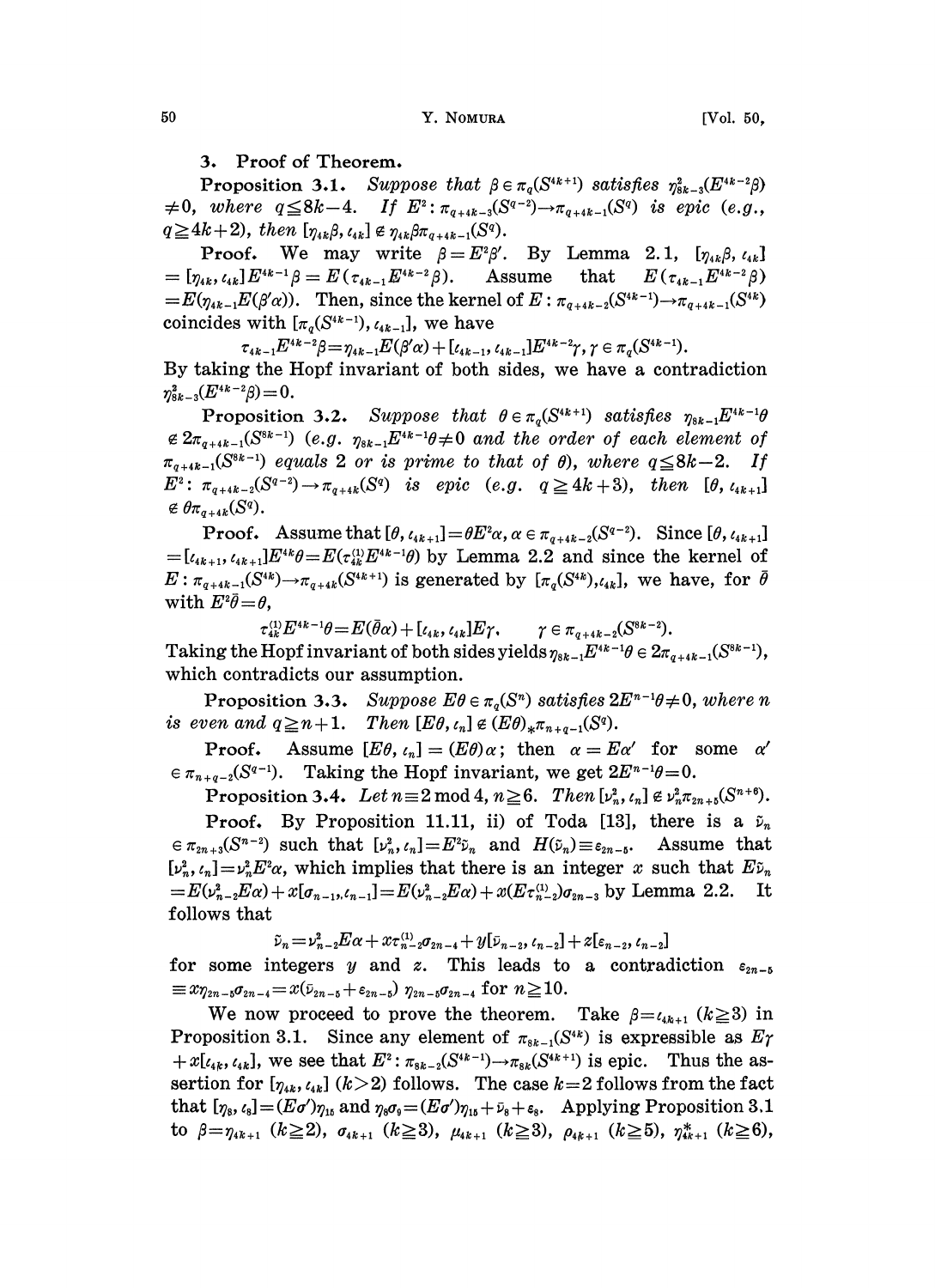3. Proof of Theorem.

**Proposition 3.1.** Suppose that  $\beta \in \pi_q(S^{4k+1})$  satisfies  $\eta_{sk-3}^2(E^{4k-2}\beta)$  $\neq 0$ , where  $q \leq 8k-4$ . If  $E^2: \pi_{q+4k-3}(S^{q-2}) \to \pi_{q+4k-1}(S^q)$  is epic (e.g.,  $q \geq 4k+2$ , then  $[\eta_{4k}\beta, \iota_{4k}] \notin \eta_{4k}\beta\pi_{q+4k-1}(S^q)$ .

**Proof.** We may write  $\beta = E^2 \beta'$ . By Lemma 2.1,  $[\eta_{ik}\beta, t_{ik}]$ <br> $[\eta_{ik}, t_{ik}] E^{ik-1}\beta = E(t_{ik-1}E^{ik-2}\beta)$ . Assume that  $E(t_{ik-1}E^{ik-2}\beta)$  $E=[\eta_{4k}, \iota_{4k}]E^{4k-1}\beta=E(\tau_{4k-1}E^{4k-2}\beta).$  Assume that  $\begin{array}{lll} \hskip65pt =[\eta_{4k}, \iota_{4k}] E^{4k-1}\beta = E(\tau_{4k-1} E^{4k-2}\beta). & & \hbox{Assume} & \hbox{that} & \hskip6pt E(\tau_{4k-1} E^{4k-2}\beta) \ = E(\eta_{4k-1} E(\beta'\alpha)). & & \hbox{Then, since the kernel of } E:\pi_{q+4k-2}(S^{4k-1})\rightarrow \pi_{q+4k-1}(S^{4k}) \end{array}$ coincides with  $[\pi_q(S^{4k-1}), \ell_{4k-1}],$  we have

 $\tau_{4k-1}E^{4k-2}\beta=\eta_{4k-1}E(\beta'\alpha)+[\iota_{4k-1},\iota_{4k-1}]E^{4k-2}\gamma,\gamma\in\pi_{q}(S^{4k-1}).$ By taking the Hopf invariant of both sides, we have a contradiction  $\eta_{8k-3}^2(E^{4k-2}\beta)=0.$ 

**Proposition 3.2.** Suppose that  $\theta \in \pi_q(S^{4k+1})$  satisfies  $\eta_{8k-1}E^{4k-1}\theta$  $\epsilon \, 2\pi_{q+4k-1}(S^{8k-1})$  (e.g.  $\eta_{8k-1}E^{4k-1}\theta \neq 0$  and the order of each element of  $\pi_{q+4k-1}(S^{8k-1})$  equals 2 or is prime to that of  $\theta$ , where  $q \leq 8k-2$ . If  $E^2: \pi_{q+4k-2}(S^{q-2}) \to \pi_{q+4k}(S^q)$  is epic (e.g.  $q \ge 4k+3$ ), then  $[\theta, t_{4k+1}]$  $\notin \theta \pi_{q+4k}(S^q).$ 

**Proof.** Assume that  $[\theta, t_{4k+1}]=\theta E^2\alpha, \alpha \in \pi_{q+4k-2}(S^{q-2})$ . Since  $[\theta, t_{4k+1}]$  $=[\ell_{4k+1}, \ell_{4k+1}]E^{4k}\theta = E(\tau_{4k}^{(1)}E^{4k-1}\theta)$  by Lemma 2.2 and since the kernel of  $E: \pi_{q+4k-1}(S^{4k}) \to \pi_{q+4k}(S^{4k+1})$  is generated by  $[\pi_q(S^{4k}), \ell_{4k}]$ , we have, for  $\bar{\theta}$ with  $E^2\bar{\theta}=\theta$ ,

 $\tau_{4k}^{(1)} E^{4k-1} \theta = E(\bar{\theta}\alpha) + [\iota_{4k}, \iota_{4k}] E \gamma, \qquad \gamma \in \pi_{q+4k-2}(S^{8k-2}).$ Taking the Hopf invariant of both sides yields  $\eta_{sk-1}E^{4k-1}\theta \in 2\pi_{g+4k-1}(S^{8k-1}),$ which contradicts our assumption.

Proposition 3.3. Suppose  $E\theta \in \pi_q(S^n)$  satisfies  $2E^{n-1}\theta \neq 0$ , where n is even and  $q\geq n+1$ . Then  $[ E\theta, \iota_n ] \notin (E\theta)_{*}\pi_{n+q-1}(S^q)$ .

**Proof.** Assume  $[E\theta, \iota_n] = (E\theta)\alpha$ ; then  $\alpha = E\alpha'$  for some  $\alpha'$  $\epsilon \pi_{n+q-2}(S^{q-1})$ . Taking the Hopf invariant, we get  $2E^{n-1}\theta=0$ .

Proposition 3.4. Let  $n=2 \mod 4$ ,  $n \ge 6$ . Then  $[\nu_n^2, \nu_n] \notin \nu_n^2 \pi_{2n+5}(S^{n+6})$ .

**Proof.** By Proposition 11.11, ii) of Toda [18], there is a  $\tilde{\nu}_n$  $\epsilon \in \pi_{2n+3}(S^{n-2})$  such that  $[\nu_n^2, \nu_n]=E^2\tilde{\nu}_n$  and  $H(\tilde{\nu}_n)\equiv \epsilon_{2n-5}$ . Assume that  $[\nu_n^2, \nu_n] = \nu_n^2 E^2 \alpha$ , which implies that there is an integer x such that  $E \tilde{\nu}_n = E(\nu_{n-2}^2 E \alpha) + x[\sigma_{n-1}, \nu_{n-1}] = E(\nu_{n-2}^2 E \alpha) + x(E \tau_{n-2}^{(1)}) \sigma_{n-2}$  by Lemma 2.2. It  $=E(\nu_{n-2}^2 E\alpha) + x[\sigma_{n-1},\epsilon_{n-1}] = E(\nu_{n-2}^2 E\alpha) + x(E\tau_{n-2}^{(1)})\sigma_{2n-3}$  by Lemma 2.2. follows that

 $\tilde{\nu}_n = \nu_{n-2}^2 E\alpha + x\tau_{n-2}^{(1)}\sigma_{2n-4} + y[\bar{\nu}_{n-2}, \epsilon_{n-2}] + z[\epsilon_{n-2}, \epsilon_{n-2}]$ 

follows that<br>  $\tilde{\nu}_n = \nu_{n-2}^2 E \alpha + x \tau_{n-2}^{(1)} \sigma_{2n-4} + y[\bar{\nu}_{n-2}, \ell_{n-2}] + z[\epsilon_{n-2}, \ell_{n-2}]$ <br>
for some integers y and z. This leads to a contradiction  $\epsilon_{2n-5}$  $\equiv x\eta_{2n-5}\sigma_{2n-4} = x(\bar{\nu}_{2n-5} + \varepsilon_{2n-5})$   $\eta_{2n-5}\sigma_{2n-4}$  for  $n\geq 10$ .

We now proceed to prove the theorem. Take  $\beta = \ell_{4k+1}$  ( $k \ge 3$ ) in Proposition 3.1. Since any element of  $\pi_{s_{k-1}}(S^{4k})$  is expressible as  $E\gamma$  $+x[\iota_{4k}, \iota_{4k}],$  we see that  $E^2: \pi_{8k-2}(S^{4k-1}) \to \pi_{8k}(S^{4k+1})$  is epic. Thus the assertion for  $[\eta_{ik}, \zeta_{ik}]$  ( $k > 2$ ) follows. The case  $k = 2$  follows from the fact that  $[\eta_{8}, \zeta_{8}] = (E\sigma')\eta_{15}$  and  $\eta_{8}\sigma_{9} = (E\sigma')\eta_{15} + \bar{\nu}_{8} + \varepsilon_{8}$ . Applying Proposition 3.1 to  $\beta = \eta_{ik+1}$   $(k \ge 2)$ ,  $\sigma_{ik+1}$   $(k \ge 3)$ ,  $\mu_{ik+1}$   $(k \ge 3)$ ,  $\rho_{ik+1}$   $(k \ge 5)$ ,  $\eta_{ik+1}^*$   $(k \ge 6)$ ,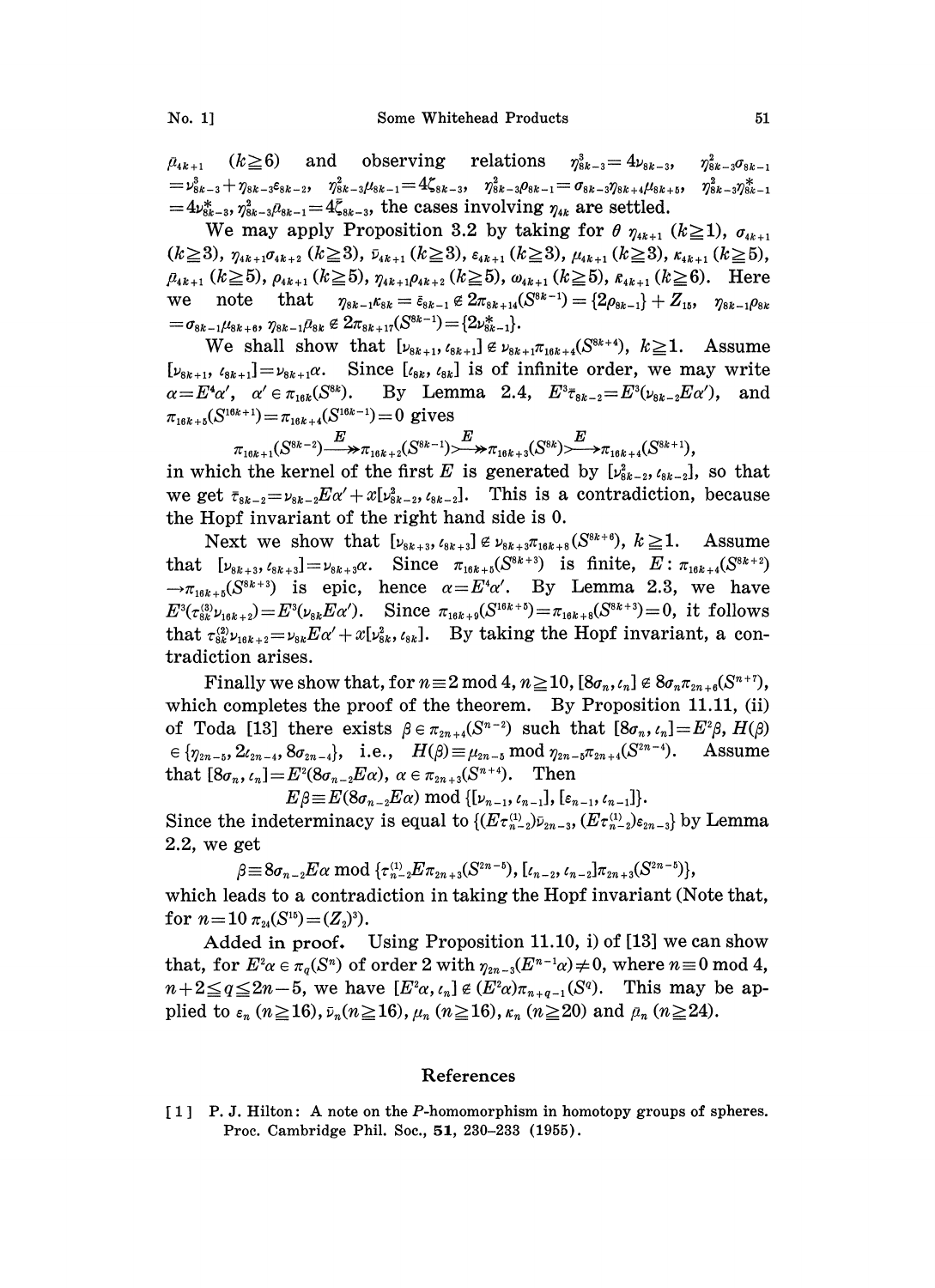$\mu_{4k+1}$   $(k\geq 6)$  and observing relations  $\eta_{8k-3}^3 = 4\nu_{8k-3}$  $\begin{array}{llll} \hbox{$\mu_{4k+1}$} & (k\!\ge\!6) & \hbox{and} & \hbox{observing} & \hbox{relations} & \eta_{8k-3}^3 = 4\nu_{8k-3}, & \eta_{8k-3}^2\sigma_{8k-1} \ =\nu_{8k-3}^3+\eta_{8k-3}s_{8k-2}, & \eta_{8k-3}^2\mu_{8k-1} = 4\zeta_{8k-3}, & \eta_{8k-3}^2\rho_{8k-1} = \sigma_{8k-3}\eta_{8k+4}\mu_{8k+5}, & \eta_{8k-3}^2\eta_{8k-1}^2 \end{array}$  $=4\nu_{8k-3}^*, \eta_{8k-3}^2\rho_{8k-1} = 4\bar{\zeta}_{8k-3}$ , the cases involving  $\eta_{4k}$  are settled.

We may apply Proposition 3.2 by taking for  $\theta$   $\eta_{4k+1}$  ( $k \ge 1$ ),  $\sigma_{4k+1}$  $(k \ge 3)$ ,  $\eta_{4k+1}\sigma_{4k+2}$   $(k \ge 3)$ ,  $\bar{\nu}_{4k+1}$   $(k \ge 3)$ ,  $\varepsilon_{4k+1}$   $(k \ge 3)$ ,  $\mu_{4k+1}$   $(k \ge 5)$ ,  $\rho_{4k+1}$   $(k \ge 5)$ ,  $\eta_{4k+1}\rho_{4k+2}$   $(k \ge 5)$ ,  $\omega_{4k+1}$   $(k \ge 5)$ ,  $\varepsilon_{4k+1}$   $(k \ge 6)$ . Here  $\rho_{4k+1}$  ( $k \ge 5$ ),  $\rho_{4k+1}$  ( $k \ge 5$ ),  $\eta_{4k+1}\rho_{4k+2}$  ( $k \ge 5$ ),  $\omega_{4k+1}$  ( $k \ge 5$ ),  $\kappa_{4k+1}$  ( $k \ge 6$ ). Here<br>we note that  $\eta_{8k-1}\kappa_{8k} = \varepsilon_{8k-1} \notin 2\pi_{8k+14}(S^{8k-1}) = \{2\rho_{8k-1}\} + Z_{15}, \quad \eta_{8k-1}\rho_{8k}$  $=\sigma_{8k-1}\mu_{8k+6}, \, \eta_{8k-1}\mu_{8k}\not\in 2\pi_{8k+17}(S^{8k-1})\!=\!\{2\nu_{8k-1}^*\}.$ 

 $We shall show that [v_{8k+1}, v_{8k+1}x_{8k+1}^{(s_{8k+1})}] \notin v_{8k+1}, v_{8k+1} \notin v_{8k+1}x_{16k+4}(S^{8k+4}), k \ge 1.$  Assume  $[\nu_{8k+1}, \ell_{8k+1}]=\nu_{8k+1}\alpha$ . Since  $[\ell_{8k}, \ell_{8k}]$  is of infinite order, we may write  $\alpha=E^4\alpha'$ ,  $\alpha' \in \pi_{16k}(S^{8k})$ . By Lemma 2.4,  $E^3\tau_{8k-2}=E^3(\nu_{8k-2}E\alpha')$ , and By Lemma 2.4,  $E^3 \bar{\tau}_{8k-2} = E^3(\nu_{8k-2}E\alpha')$ , and  $\pi_{16k+5}(S^{16k+1}) = \pi_{16k+4}(S^{16k-1}) = 0$  gives

in which the kernel of the first 
$$
E
$$
 is generated by  $[v_{0k+1}^{s(k+1)}(S^{8k-1}) \rightarrow \pi_{16k+2}(S^{8k-1}) \rightarrow \pi_{16k+3}(S^{8k}) \rightarrow \pi_{16k+4}(S^{8k+1}),$ 

we get  $\bar{\tau}_{8k-2}=\nu_{8k-2}E\alpha'+x[\nu_{8k-2}^2, \ell_{8k-2}].$  This is a contradiction, because the Hopf invariant of the right hand side is 0.

Next we show that  $[\nu_{s_{k+3}}, \ell_{s_{k+3}}] \notin \nu_{s_{k+3}} \pi_{16k+8}(S^{s_{k+6}}), k \geq 1$ . Assume that  $[\nu_{sk+3}, \iota_{sk+3}]=\nu_{sk+3}\alpha$ . Since  $\pi_{16k+5}(S^{8k+3})$  is finite,  $E: \pi_{16k+4}(S^{8k+2})$  $\rightarrow \pi_{16k+5}(S^{8k+3})$  is epic, hence  $\alpha=E^4\alpha'$ . By Lemma 2.3, we have  $E^3(\tau_{8k}^{(3)}\nu_{16k+2})=E^3(\nu_{8k}E\alpha')$ . Since  $\pi_{16k+9}(S^{16k+5})=\pi_{16k+8}(S^{8k+3})=0$ , it follows that  $\tau_{8k}^{(2)}\nu_{16k+2} = \nu_{8k}E\alpha' + x[\nu_{8k}^2, \nu_{8k}]$ . By taking the Hopf invariant, a contradiction arises.

Finally we show that, for  $n\equiv 2 \mod 4$ ,  $n\geq 10$ ,  $[8\sigma_n, \epsilon_n] \notin 8\sigma_n \pi_{2n+6}(S^{n+7}),$ which completes the proof of the theorem. By Proposition 11.11, (ii) of Toda [13] there exists  $\beta \in \pi_{2n+4}(S^{n-2})$  such that  $[8\sigma_n,\iota_n]=E^2\beta$ ,  $H(\beta)$  $a \in \{\eta_{2n-5}, 2\ell_{2n-4}, 8\sigma_{2n-4}\}, \text{ i.e., } H(\beta) \equiv \mu_{2n-5} \text{ mod } \eta_{2n-5}\pi_{2n+4}(S^{2n-4}).$  Assume that  $[8\sigma_n, \epsilon_n] = E^2(8\sigma_{n-2}E\alpha)$ ,  $\alpha \in \pi_{2n+3}(S^{n+4})$ . Then

 $E\beta \equiv E(8\sigma_{n-2}E\alpha) \mod \{[\nu_{n-1}, \ell_{n-1}], [\varepsilon_{n-1}, \ell_{n-1}]\}.$ Since the indeterminacy is equal to  $\{ (E \tau_{n-2}^{(1)}) \bar{\nu}_{2n-3}, (E \tau_{n-2}^{(1)}) \varepsilon_{2n-3} \}$  by Lemma 2.2, we get

 $\beta\!\equiv\! 8\sigma_{n-2}E\alpha \bmod{ \{\tau_{n-2}^{(1)}E\pi_{2n+3}(S^{2n-5}), [\iota_{n-2},\iota_{n-2}]\pi_{2n+3}(S^{2n-5})\} }.$ which leads to a contradiction in taking the Hopf invariant (Note that, for  $n = 10 \pi_{24}(S^{15}) = (Z_2)^3$ .

Added in proof. Using Proposition 11.10, i) of  $[13]$  we can show that, for  $E^2 \alpha \in \pi_\alpha(S^n)$  of order 2 with  $\eta_{2n-3}(E^{n-1}\alpha) \neq 0$ , where  $n \equiv 0 \mod 4$ ,  $n+2 \leq q \leq 2n-5$ , we have  $[E^2\alpha, \ell_n] \notin (E^2\alpha)\pi_{n+q-1}(S^q)$ . This may be applied to  $\varepsilon_n$  ( $n \ge 16$ ),  $\bar{\nu}_n(n \ge 16)$ ,  $\mu_n$  ( $n \ge 16$ ),  $\kappa_n$  ( $n \ge 20$ ) and  $\bar{\mu}_n$  ( $n \ge 24$ ).

## References

[1] P. J. Hilton: A note on the P-homomorphism in homotopy groups of spheres. Proc. Cambridge Phil. Soc., 51, 230-233 (1955).